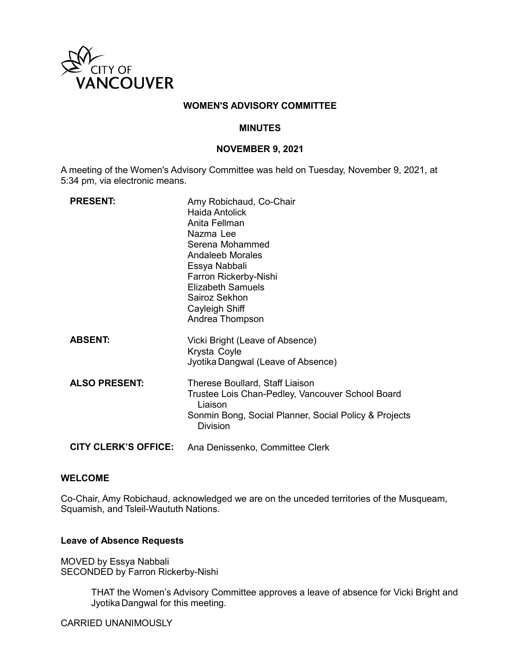

## **WOMEN'S ADVISORY COMMITTEE**

## **MINUTES**

# **NOVEMBER 9, 2021**

A meeting of the Women's Advisory Committee was held on Tuesday, November 9, 2021, at 5:34 pm, via electronic means.

| <b>PRESENT:</b>             | Amy Robichaud, Co-Chair<br>Haida Antolick<br>Anita Fellman<br>Nazma Lee<br>Serena Mohammed<br><b>Andaleeb Morales</b><br>Essya Nabbali<br>Farron Rickerby-Nishi<br><b>Elizabeth Samuels</b><br>Sairoz Sekhon<br>Cayleigh Shiff<br>Andrea Thompson |
|-----------------------------|---------------------------------------------------------------------------------------------------------------------------------------------------------------------------------------------------------------------------------------------------|
| <b>ABSENT:</b>              | Vicki Bright (Leave of Absence)<br>Krysta Coyle<br>Jyotika Dangwal (Leave of Absence)                                                                                                                                                             |
| <b>ALSO PRESENT:</b>        | Therese Boullard, Staff Liaison<br>Trustee Lois Chan-Pedley, Vancouver School Board<br>Liaison<br>Sonmin Bong, Social Planner, Social Policy & Projects<br><b>Division</b>                                                                        |
| <b>CITY CLERK'S OFFICE:</b> | Ana Denissenko, Committee Clerk                                                                                                                                                                                                                   |

## **WELCOME**

Co-Chair, Amy Robichaud, acknowledged we are on the unceded territories of the Musqueam, Squamish, and Tsleil-Waututh Nations.

## **Leave of Absence Requests**

MOVED by Essya Nabbali SECONDED by Farron Rickerby-Nishi

> THAT the Women's Advisory Committee approves a leave of absence for Vicki Bright and Jyotika Dangwal for this meeting.

CARRIED UNANIMOUSLY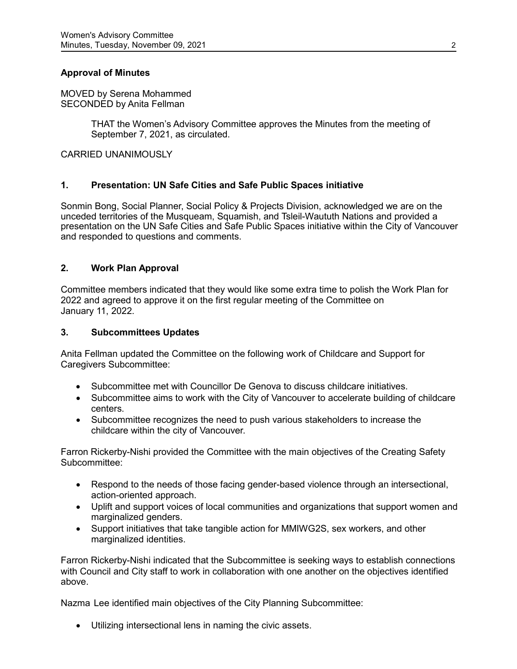# **Approval of Minutes**

MOVED by Serena Mohammed SECONDED by Anita Fellman

> THAT the Women's Advisory Committee approves the Minutes from the meeting of September 7, 2021, as circulated.

CARRIED UNANIMOUSLY

## **1. Presentation: UN Safe Cities and Safe Public Spaces initiative**

Sonmin Bong, Social Planner, Social Policy & Projects Division, acknowledged we are on the unceded territories of the Musqueam, Squamish, and Tsleil-Waututh Nations and provided a presentation on the UN Safe Cities and Safe Public Spaces initiative within the City of Vancouver and responded to questions and comments.

## **2. Work Plan Approval**

Committee members indicated that they would like some extra time to polish the Work Plan for 2022 and agreed to approve it on the first regular meeting of the Committee on January 11, 2022.

#### **3. Subcommittees Updates**

Anita Fellman updated the Committee on the following work of Childcare and Support for Caregivers Subcommittee:

- Subcommittee met with Councillor De Genova to discuss childcare initiatives.
- Subcommittee aims to work with the City of Vancouver to accelerate building of childcare centers.
- Subcommittee recognizes the need to push various stakeholders to increase the childcare within the city of Vancouver.

Farron Rickerby-Nishi provided the Committee with the main objectives of the Creating Safety Subcommittee:

- Respond to the needs of those facing gender-based violence through an intersectional, action-oriented approach.
- Uplift and support voices of local communities and organizations that support women and marginalized genders.
- Support initiatives that take tangible action for MMIWG2S, sex workers, and other marginalized identities.

Farron Rickerby-Nishi indicated that the Subcommittee is seeking ways to establish connections with Council and City staff to work in collaboration with one another on the objectives identified above.

Nazma Lee identified main objectives of the City Planning Subcommittee:

• Utilizing intersectional lens in naming the civic assets.